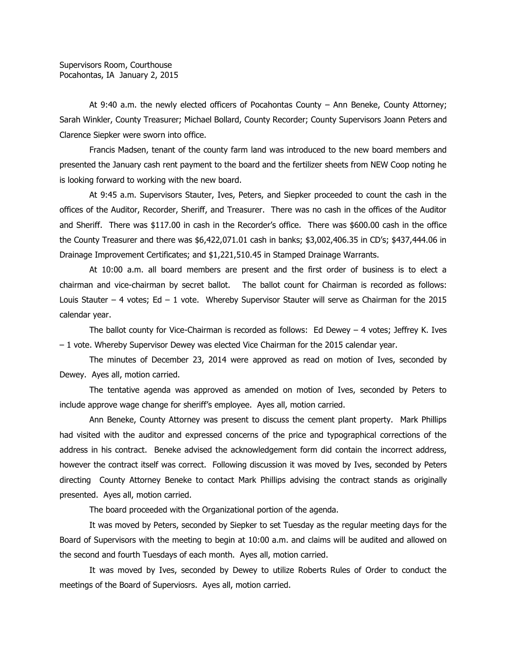At 9:40 a.m. the newly elected officers of Pocahontas County – Ann Beneke, County Attorney; Sarah Winkler, County Treasurer; Michael Bollard, County Recorder; County Supervisors Joann Peters and Clarence Siepker were sworn into office.

Francis Madsen, tenant of the county farm land was introduced to the new board members and presented the January cash rent payment to the board and the fertilizer sheets from NEW Coop noting he is looking forward to working with the new board.

At 9:45 a.m. Supervisors Stauter, Ives, Peters, and Siepker proceeded to count the cash in the offices of the Auditor, Recorder, Sheriff, and Treasurer. There was no cash in the offices of the Auditor and Sheriff. There was \$117.00 in cash in the Recorder's office. There was \$600.00 cash in the office the County Treasurer and there was \$6,422,071.01 cash in banks; \$3,002,406.35 in CD's; \$437,444.06 in Drainage Improvement Certificates; and \$1,221,510.45 in Stamped Drainage Warrants.

At 10:00 a.m. all board members are present and the first order of business is to elect a chairman and vice-chairman by secret ballot. The ballot count for Chairman is recorded as follows: Louis Stauter – 4 votes; Ed – 1 vote. Whereby Supervisor Stauter will serve as Chairman for the 2015 calendar year.

The ballot county for Vice-Chairman is recorded as follows: Ed Dewey – 4 votes; Jeffrey K. Ives – 1 vote. Whereby Supervisor Dewey was elected Vice Chairman for the 2015 calendar year.

The minutes of December 23, 2014 were approved as read on motion of Ives, seconded by Dewey. Ayes all, motion carried.

The tentative agenda was approved as amended on motion of Ives, seconded by Peters to include approve wage change for sheriff's employee. Ayes all, motion carried.

Ann Beneke, County Attorney was present to discuss the cement plant property. Mark Phillips had visited with the auditor and expressed concerns of the price and typographical corrections of the address in his contract. Beneke advised the acknowledgement form did contain the incorrect address, however the contract itself was correct. Following discussion it was moved by Ives, seconded by Peters directing County Attorney Beneke to contact Mark Phillips advising the contract stands as originally presented. Ayes all, motion carried.

The board proceeded with the Organizational portion of the agenda.

It was moved by Peters, seconded by Siepker to set Tuesday as the regular meeting days for the Board of Supervisors with the meeting to begin at 10:00 a.m. and claims will be audited and allowed on the second and fourth Tuesdays of each month. Ayes all, motion carried.

It was moved by Ives, seconded by Dewey to utilize Roberts Rules of Order to conduct the meetings of the Board of Superviosrs. Ayes all, motion carried.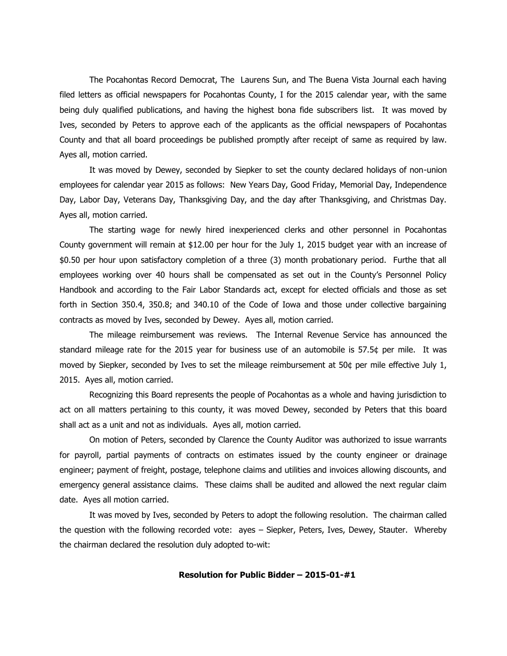The Pocahontas Record Democrat, The Laurens Sun, and The Buena Vista Journal each having filed letters as official newspapers for Pocahontas County, I for the 2015 calendar year, with the same being duly qualified publications, and having the highest bona fide subscribers list. It was moved by Ives, seconded by Peters to approve each of the applicants as the official newspapers of Pocahontas County and that all board proceedings be published promptly after receipt of same as required by law. Ayes all, motion carried.

It was moved by Dewey, seconded by Siepker to set the county declared holidays of non-union employees for calendar year 2015 as follows: New Years Day, Good Friday, Memorial Day, Independence Day, Labor Day, Veterans Day, Thanksgiving Day, and the day after Thanksgiving, and Christmas Day. Ayes all, motion carried.

The starting wage for newly hired inexperienced clerks and other personnel in Pocahontas County government will remain at \$12.00 per hour for the July 1, 2015 budget year with an increase of \$0.50 per hour upon satisfactory completion of a three (3) month probationary period. Furthe that all employees working over 40 hours shall be compensated as set out in the County's Personnel Policy Handbook and according to the Fair Labor Standards act, except for elected officials and those as set forth in Section 350.4, 350.8; and 340.10 of the Code of Iowa and those under collective bargaining contracts as moved by Ives, seconded by Dewey. Ayes all, motion carried.

The mileage reimbursement was reviews. The Internal Revenue Service has announced the standard mileage rate for the 2015 year for business use of an automobile is 57.5¢ per mile. It was moved by Siepker, seconded by Ives to set the mileage reimbursement at 50¢ per mile effective July 1, 2015. Ayes all, motion carried.

Recognizing this Board represents the people of Pocahontas as a whole and having jurisdiction to act on all matters pertaining to this county, it was moved Dewey, seconded by Peters that this board shall act as a unit and not as individuals. Ayes all, motion carried.

On motion of Peters, seconded by Clarence the County Auditor was authorized to issue warrants for payroll, partial payments of contracts on estimates issued by the county engineer or drainage engineer; payment of freight, postage, telephone claims and utilities and invoices allowing discounts, and emergency general assistance claims. These claims shall be audited and allowed the next regular claim date. Ayes all motion carried.

It was moved by Ives, seconded by Peters to adopt the following resolution. The chairman called the question with the following recorded vote: ayes – Siepker, Peters, Ives, Dewey, Stauter. Whereby the chairman declared the resolution duly adopted to-wit:

## **Resolution for Public Bidder – 2015-01-#1**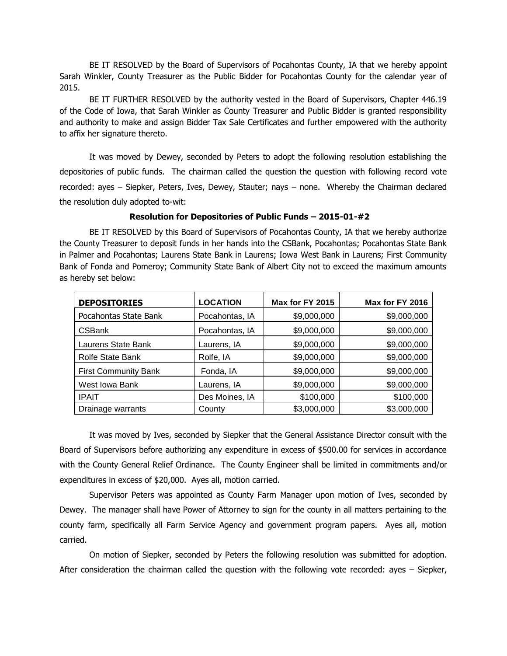BE IT RESOLVED by the Board of Supervisors of Pocahontas County, IA that we hereby appoint Sarah Winkler, County Treasurer as the Public Bidder for Pocahontas County for the calendar year of 2015.

BE IT FURTHER RESOLVED by the authority vested in the Board of Supervisors, Chapter 446.19 of the Code of Iowa, that Sarah Winkler as County Treasurer and Public Bidder is granted responsibility and authority to make and assign Bidder Tax Sale Certificates and further empowered with the authority to affix her signature thereto.

It was moved by Dewey, seconded by Peters to adopt the following resolution establishing the depositories of public funds. The chairman called the question the question with following record vote recorded: ayes – Siepker, Peters, Ives, Dewey, Stauter; nays – none. Whereby the Chairman declared the resolution duly adopted to-wit:

## **Resolution for Depositories of Public Funds – 2015-01-#2**

BE IT RESOLVED by this Board of Supervisors of Pocahontas County, IA that we hereby authorize the County Treasurer to deposit funds in her hands into the CSBank, Pocahontas; Pocahontas State Bank in Palmer and Pocahontas; Laurens State Bank in Laurens; Iowa West Bank in Laurens; First Community Bank of Fonda and Pomeroy; Community State Bank of Albert City not to exceed the maximum amounts as hereby set below:

| <b>DEPOSITORIES</b>         | <b>LOCATION</b> | Max for FY 2015 | Max for FY 2016 |
|-----------------------------|-----------------|-----------------|-----------------|
| Pocahontas State Bank       | Pocahontas, IA  | \$9,000,000     | \$9,000,000     |
| <b>CSBank</b>               | Pocahontas, IA  | \$9,000,000     | \$9,000,000     |
| Laurens State Bank          | Laurens, IA     | \$9,000,000     | \$9,000,000     |
| <b>Rolfe State Bank</b>     | Rolfe, IA       | \$9,000,000     | \$9,000,000     |
| <b>First Community Bank</b> | Fonda, IA       | \$9,000,000     | \$9,000,000     |
| West Iowa Bank              | Laurens, IA     | \$9,000,000     | \$9,000,000     |
| <b>IPAIT</b>                | Des Moines, IA  | \$100,000       | \$100,000       |
| Drainage warrants           | County          | \$3,000,000     | \$3,000,000     |

It was moved by Ives, seconded by Siepker that the General Assistance Director consult with the Board of Supervisors before authorizing any expenditure in excess of \$500.00 for services in accordance with the County General Relief Ordinance. The County Engineer shall be limited in commitments and/or expenditures in excess of \$20,000. Ayes all, motion carried.

Supervisor Peters was appointed as County Farm Manager upon motion of Ives, seconded by Dewey. The manager shall have Power of Attorney to sign for the county in all matters pertaining to the county farm, specifically all Farm Service Agency and government program papers. Ayes all, motion carried.

On motion of Siepker, seconded by Peters the following resolution was submitted for adoption. After consideration the chairman called the question with the following vote recorded: ayes – Siepker,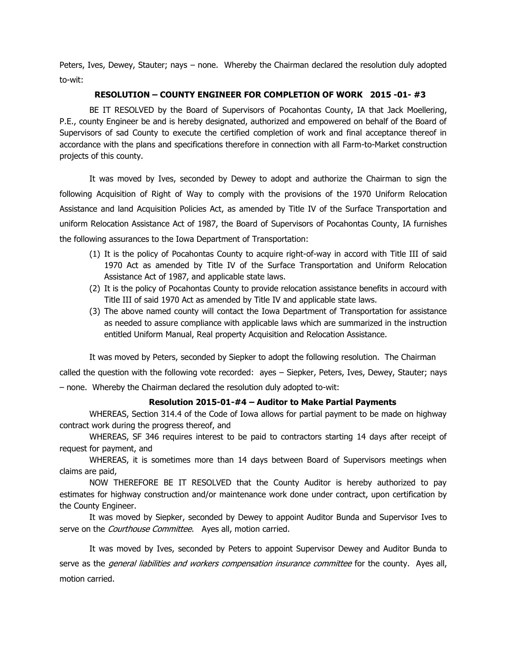Peters, Ives, Dewey, Stauter; nays – none. Whereby the Chairman declared the resolution duly adopted to-wit:

## **RESOLUTION – COUNTY ENGINEER FOR COMPLETION OF WORK 2015 -01- #3**

BE IT RESOLVED by the Board of Supervisors of Pocahontas County, IA that Jack Moellering, P.E., county Engineer be and is hereby designated, authorized and empowered on behalf of the Board of Supervisors of sad County to execute the certified completion of work and final acceptance thereof in accordance with the plans and specifications therefore in connection with all Farm-to-Market construction projects of this county.

It was moved by Ives, seconded by Dewey to adopt and authorize the Chairman to sign the following Acquisition of Right of Way to comply with the provisions of the 1970 Uniform Relocation Assistance and land Acquisition Policies Act, as amended by Title IV of the Surface Transportation and uniform Relocation Assistance Act of 1987, the Board of Supervisors of Pocahontas County, IA furnishes the following assurances to the Iowa Department of Transportation:

- (1) It is the policy of Pocahontas County to acquire right-of-way in accord with Title III of said 1970 Act as amended by Title IV of the Surface Transportation and Uniform Relocation Assistance Act of 1987, and applicable state laws.
- (2) It is the policy of Pocahontas County to provide relocation assistance benefits in accourd with Title III of said 1970 Act as amended by Title IV and applicable state laws.
- (3) The above named county will contact the Iowa Department of Transportation for assistance as needed to assure compliance with applicable laws which are summarized in the instruction entitled Uniform Manual, Real property Acquisition and Relocation Assistance.

It was moved by Peters, seconded by Siepker to adopt the following resolution. The Chairman

called the question with the following vote recorded: ayes – Siepker, Peters, Ives, Dewey, Stauter; nays – none. Whereby the Chairman declared the resolution duly adopted to-wit:

## **Resolution 2015-01-#4 – Auditor to Make Partial Payments**

WHEREAS, Section 314.4 of the Code of Iowa allows for partial payment to be made on highway contract work during the progress thereof, and

WHEREAS, SF 346 requires interest to be paid to contractors starting 14 days after receipt of request for payment, and

WHEREAS, it is sometimes more than 14 days between Board of Supervisors meetings when claims are paid,

NOW THEREFORE BE IT RESOLVED that the County Auditor is hereby authorized to pay estimates for highway construction and/or maintenance work done under contract, upon certification by the County Engineer.

It was moved by Siepker, seconded by Dewey to appoint Auditor Bunda and Supervisor Ives to serve on the *Courthouse Committee*. Ayes all, motion carried.

It was moved by Ives, seconded by Peters to appoint Supervisor Dewey and Auditor Bunda to serve as the *general liabilities and workers compensation insurance committee* for the county. Ayes all, motion carried.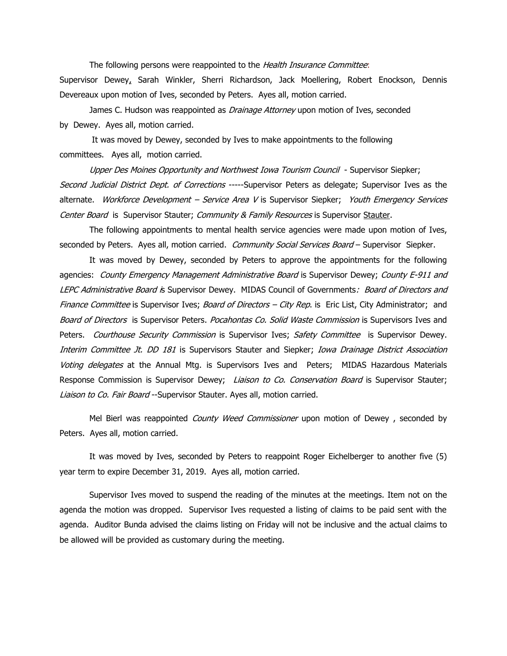The following persons were reappointed to the Health Insurance Committee: Supervisor Dewey, Sarah Winkler, Sherri Richardson, Jack Moellering, Robert Enockson, Dennis Devereaux upon motion of Ives, seconded by Peters. Ayes all, motion carried.

James C. Hudson was reappointed as *Drainage Attorney* upon motion of Ives, seconded by Dewey. Ayes all, motion carried.

It was moved by Dewey, seconded by Ives to make appointments to the following committees. Ayes all, motion carried.

Upper Des Moines Opportunity and Northwest Iowa Tourism Council - Supervisor Siepker; Second Judicial District Dept. of Corrections -----Supervisor Peters as delegate; Supervisor Ives as the alternate. Workforce Development - Service Area V is Supervisor Siepker; Youth Emergency Services Center Board is Supervisor Stauter; Community & Family Resources is Supervisor Stauter.

The following appointments to mental health service agencies were made upon motion of Ives, seconded by Peters. Ayes all, motion carried. Community Social Services Board - Supervisor Siepker.

It was moved by Dewey, seconded by Peters to approve the appointments for the following agencies: County Emergency Management Administrative Board is Supervisor Dewey; County E-911 and LEPC Administrative Board is Supervisor Dewey.MIDAS Council of Governments:Board of Directors and Finance Committee is Supervisor Ives; Board of Directors - City Rep. is Eric List, City Administrator; and Board of Directors is Supervisor Peters. Pocahontas Co. Solid Waste Commission is Supervisors Ives and Peters. Courthouse Security Commission is Supervisor Ives; Safety Committee is Supervisor Dewey. Interim Committee Jt. DD 181 is Supervisors Stauter and Siepker; Iowa Drainage District Association Voting delegates at the Annual Mtg. is Supervisors Ives and Peters;MIDAS Hazardous Materials Response Commission is Supervisor Dewey; Liaison to Co. Conservation Board is Supervisor Stauter; Liaison to Co. Fair Board -- Supervisor Stauter. Ayes all, motion carried.

Mel Bierl was reappointed *County Weed Commissioner* upon motion of Dewey, seconded by Peters. Ayes all, motion carried.

It was moved by Ives, seconded by Peters to reappoint Roger Eichelberger to another five (5) year term to expire December 31, 2019. Ayes all, motion carried.

Supervisor Ives moved to suspend the reading of the minutes at the meetings. Item not on the agenda the motion was dropped. Supervisor Ives requested a listing of claims to be paid sent with the agenda. Auditor Bunda advised the claims listing on Friday will not be inclusive and the actual claims to be allowed will be provided as customary during the meeting.